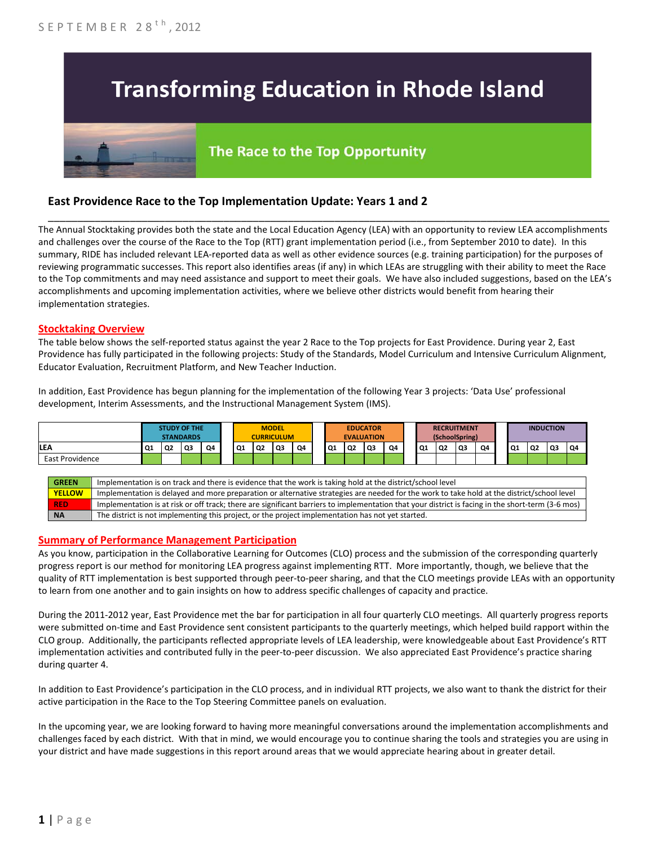# **Transforming Education in Rhode Island**

# The Race to the Top Opportunity

## **East Providence Race to the Top Implementation Update: Years 1 and 2**

The Annual Stocktaking provides both the state and the Local Education Agency (LEA) with an opportunity to review LEA accomplishments and challenges over the course of the Race to the Top (RTT) grant implementation period (i.e., from September 2010 to date). In this summary, RIDE has included relevant LEA-reported data as well as other evidence sources (e.g. training participation) for the purposes of reviewing programmatic successes. This report also identifies areas (if any) in which LEAs are struggling with their ability to meet the Race to the Top commitments and may need assistance and support to meet their goals. We have also included suggestions, based on the LEA's accomplishments and upcoming implementation activities, where we believe other districts would benefit from hearing their implementation strategies.

\_\_\_\_\_\_\_\_\_\_\_\_\_\_\_\_\_\_\_\_\_\_\_\_\_\_\_\_\_\_\_\_\_\_\_\_\_\_\_\_\_\_\_\_\_\_\_\_\_\_\_\_\_\_\_\_\_\_\_\_\_\_\_\_\_\_\_\_\_\_\_\_\_\_\_\_\_\_\_\_\_\_\_\_\_\_\_\_\_\_\_\_\_\_\_\_

#### **Stocktaking Overview**

The table below shows the self-reported status against the year 2 Race to the Top projects for East Providence. During year 2, East Providence has fully participated in the following projects: Study of the Standards, Model Curriculum and Intensive Curriculum Alignment, Educator Evaluation, Recruitment Platform, and New Teacher Induction.

In addition, East Providence has begun planning for the implementation of the following Year 3 projects: 'Data Use' professional development, Interim Assessments, and the Instructional Management System (IMS).



#### **Summary of Performance Management Participation**

As you know, participation in the Collaborative Learning for Outcomes (CLO) process and the submission of the corresponding quarterly progress report is our method for monitoring LEA progress against implementing RTT. More importantly, though, we believe that the quality of RTT implementation is best supported through peer-to-peer sharing, and that the CLO meetings provide LEAs with an opportunity to learn from one another and to gain insights on how to address specific challenges of capacity and practice.

During the 2011-2012 year, East Providence met the bar for participation in all four quarterly CLO meetings. All quarterly progress reports were submitted on-time and East Providence sent consistent participants to the quarterly meetings, which helped build rapport within the CLO group. Additionally, the participants reflected appropriate levels of LEA leadership, were knowledgeable about East Providence's RTT implementation activities and contributed fully in the peer-to-peer discussion. We also appreciated East Providence's practice sharing during quarter 4.

In addition to East Providence's participation in the CLO process, and in individual RTT projects, we also want to thank the district for their active participation in the Race to the Top Steering Committee panels on evaluation.

In the upcoming year, we are looking forward to having more meaningful conversations around the implementation accomplishments and challenges faced by each district. With that in mind, we would encourage you to continue sharing the tools and strategies you are using in your district and have made suggestions in this report around areas that we would appreciate hearing about in greater detail.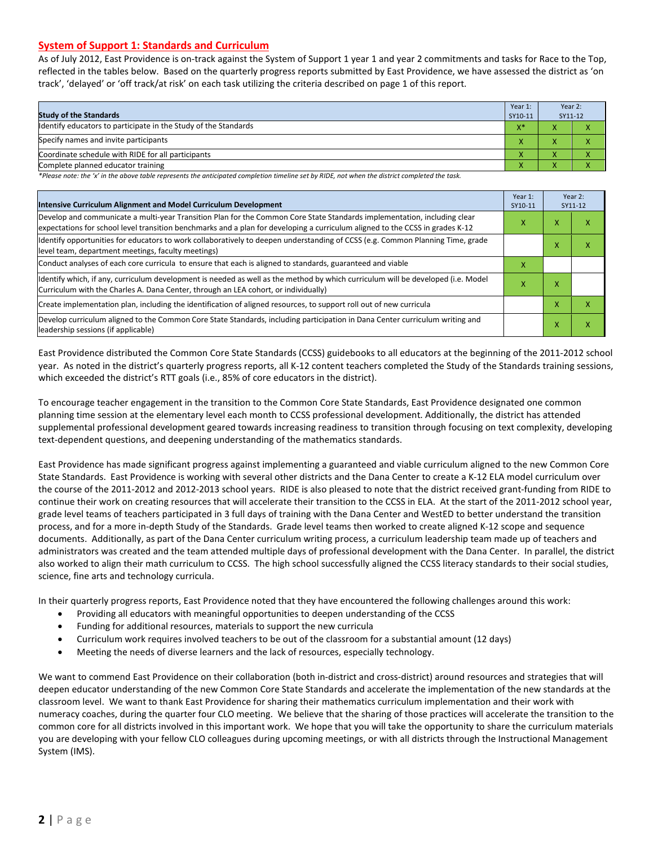#### **System of Support 1: Standards and Curriculum**

As of July 2012, East Providence is on-track against the System of Support 1 year 1 and year 2 commitments and tasks for Race to the Top, reflected in the tables below. Based on the quarterly progress reports submitted by East Providence, we have assessed the district as 'on track', 'delayed' or 'off track/at risk' on each task utilizing the criteria described on page 1 of this report.

| <b>Study of the Standards</b>                                   | Year 1:<br>SY10-11  | Year 2:<br>SY11-12 |  |
|-----------------------------------------------------------------|---------------------|--------------------|--|
| Identify educators to participate in the Study of the Standards |                     |                    |  |
| Specify names and invite participants                           |                     |                    |  |
| Coordinate schedule with RIDE for all participants              |                     |                    |  |
| Complete planned educator training                              | $\bar{\phantom{a}}$ |                    |  |

*\*Please note: the 'x' in the above table represents the anticipated completion timeline set by RIDE, not when the district completed the task.*

| Intensive Curriculum Alignment and Model Curriculum Development                                                                                                                                                                                           |   |        | Year 2:<br>SY11-12 |
|-----------------------------------------------------------------------------------------------------------------------------------------------------------------------------------------------------------------------------------------------------------|---|--------|--------------------|
| Develop and communicate a multi-year Transition Plan for the Common Core State Standards implementation, including clear<br>expectations for school level transition benchmarks and a plan for developing a curriculum aligned to the CCSS in grades K-12 |   |        | ^                  |
| Identify opportunities for educators to work collaboratively to deepen understanding of CCSS (e.g. Common Planning Time, grade<br>level team, department meetings, faculty meetings)                                                                      |   | M<br>⋏ | ⋏                  |
| Conduct analyses of each core curricula to ensure that each is aligned to standards, guaranteed and viable                                                                                                                                                | x |        |                    |
| Identify which, if any, curriculum development is needed as well as the method by which curriculum will be developed (i.e. Model<br>Curriculum with the Charles A. Dana Center, through an LEA cohort, or individually)                                   |   |        |                    |
| Create implementation plan, including the identification of aligned resources, to support roll out of new curricula                                                                                                                                       |   | x      |                    |
| Develop curriculum aligned to the Common Core State Standards, including participation in Dana Center curriculum writing and<br>leadership sessions (if applicable)                                                                                       |   | x      | χ                  |

East Providence distributed the Common Core State Standards (CCSS) guidebooks to all educators at the beginning of the 2011-2012 school year. As noted in the district's quarterly progress reports, all K-12 content teachers completed the Study of the Standards training sessions, which exceeded the district's RTT goals (i.e., 85% of core educators in the district).

To encourage teacher engagement in the transition to the Common Core State Standards, East Providence designated one common planning time session at the elementary level each month to CCSS professional development. Additionally, the district has attended supplemental professional development geared towards increasing readiness to transition through focusing on text complexity, developing text-dependent questions, and deepening understanding of the mathematics standards.

East Providence has made significant progress against implementing a guaranteed and viable curriculum aligned to the new Common Core State Standards. East Providence is working with several other districts and the Dana Center to create a K-12 ELA model curriculum over the course of the 2011-2012 and 2012-2013 school years. RIDE is also pleased to note that the district received grant-funding from RIDE to continue their work on creating resources that will accelerate their transition to the CCSS in ELA. At the start of the 2011-2012 school year, grade level teams of teachers participated in 3 full days of training with the Dana Center and WestED to better understand the transition process, and for a more in-depth Study of the Standards. Grade level teams then worked to create aligned K-12 scope and sequence documents. Additionally, as part of the Dana Center curriculum writing process, a curriculum leadership team made up of teachers and administrators was created and the team attended multiple days of professional development with the Dana Center. In parallel, the district also worked to align their math curriculum to CCSS. The high school successfully aligned the CCSS literacy standards to their social studies, science, fine arts and technology curricula.

In their quarterly progress reports, East Providence noted that they have encountered the following challenges around this work:

- Providing all educators with meaningful opportunities to deepen understanding of the CCSS
- Funding for additional resources, materials to support the new curricula
- Curriculum work requires involved teachers to be out of the classroom for a substantial amount (12 days)
- Meeting the needs of diverse learners and the lack of resources, especially technology.

We want to commend East Providence on their collaboration (both in-district and cross-district) around resources and strategies that will deepen educator understanding of the new Common Core State Standards and accelerate the implementation of the new standards at the classroom level. We want to thank East Providence for sharing their mathematics curriculum implementation and their work with numeracy coaches, during the quarter four CLO meeting. We believe that the sharing of those practices will accelerate the transition to the common core for all districts involved in this important work. We hope that you will take the opportunity to share the curriculum materials you are developing with your fellow CLO colleagues during upcoming meetings, or with all districts through the Instructional Management System (IMS).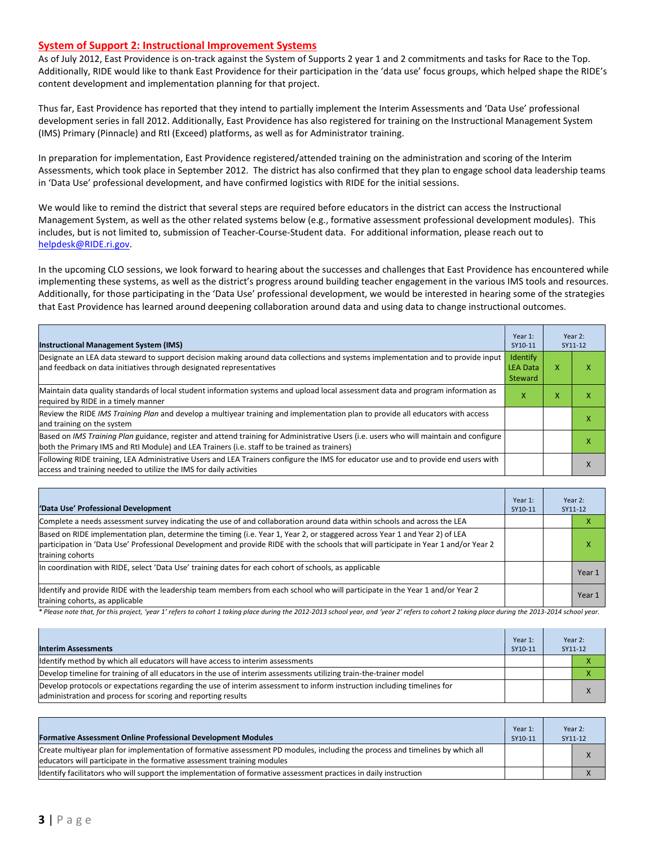#### **System of Support 2: Instructional Improvement Systems**

As of July 2012, East Providence is on-track against the System of Supports 2 year 1 and 2 commitments and tasks for Race to the Top. Additionally, RIDE would like to thank East Providence for their participation in the 'data use' focus groups, which helped shape the RIDE's content development and implementation planning for that project.

Thus far, East Providence has reported that they intend to partially implement the Interim Assessments and 'Data Use' professional development series in fall 2012. Additionally, East Providence has also registered for training on the Instructional Management System (IMS) Primary (Pinnacle) and RtI (Exceed) platforms, as well as for Administrator training.

In preparation for implementation, East Providence registered/attended training on the administration and scoring of the Interim Assessments, which took place in September 2012. The district has also confirmed that they plan to engage school data leadership teams in 'Data Use' professional development, and have confirmed logistics with RIDE for the initial sessions.

We would like to remind the district that several steps are required before educators in the district can access the Instructional Management System, as well as the other related systems below (e.g., formative assessment professional development modules). This includes, but is not limited to, submission of Teacher-Course-Student data. For additional information, please reach out to [helpdesk@RIDE.ri.gov.](mailto:helpdesk@RIDE.ri.gov)

In the upcoming CLO sessions, we look forward to hearing about the successes and challenges that East Providence has encountered while implementing these systems, as well as the district's progress around building teacher engagement in the various IMS tools and resources. Additionally, for those participating in the 'Data Use' professional development, we would be interested in hearing some of the strategies that East Providence has learned around deepening collaboration around data and using data to change instructional outcomes.

| <b>Instructional Management System (IMS)</b>                                                                                                                                                                                           | Year 1:<br>SY10-11                     |   | Year 2:<br>SY11-12 |
|----------------------------------------------------------------------------------------------------------------------------------------------------------------------------------------------------------------------------------------|----------------------------------------|---|--------------------|
| Designate an LEA data steward to support decision making around data collections and systems implementation and to provide input<br>and feedback on data initiatives through designated representatives                                | Identify<br><b>LEA Data</b><br>Steward | x | x                  |
| Maintain data quality standards of local student information systems and upload local assessment data and program information as<br>required by RIDE in a timely manner                                                                | x                                      | x |                    |
| Review the RIDE IMS Training Plan and develop a multiyear training and implementation plan to provide all educators with access<br>and training on the system                                                                          |                                        |   | x                  |
| Based on IMS Training Plan guidance, register and attend training for Administrative Users (i.e. users who will maintain and configure<br>both the Primary IMS and RtI Module) and LEA Trainers (i.e. staff to be trained as trainers) |                                        |   |                    |
| Following RIDE training, LEA Administrative Users and LEA Trainers configure the IMS for educator use and to provide end users with<br>access and training needed to utilize the IMS for daily activities                              |                                        |   | $\lambda$          |

| 'Data Use' Professional Development                                                                                                                                                                                                                                                     | Year 1:<br>SY10-11 |  | Year 2:<br>SY11-12 |
|-----------------------------------------------------------------------------------------------------------------------------------------------------------------------------------------------------------------------------------------------------------------------------------------|--------------------|--|--------------------|
| Complete a needs assessment survey indicating the use of and collaboration around data within schools and across the LEA                                                                                                                                                                |                    |  |                    |
| Based on RIDE implementation plan, determine the timing (i.e. Year 1, Year 2, or staggered across Year 1 and Year 2) of LEA<br>participation in 'Data Use' Professional Development and provide RIDE with the schools that will participate in Year 1 and/or Year 2<br>training cohorts |                    |  | ⋏                  |
| In coordination with RIDE, select 'Data Use' training dates for each cohort of schools, as applicable                                                                                                                                                                                   |                    |  | Year 1             |
| Ildentify and provide RIDE with the leadership team members from each school who will participate in the Year 1 and/or Year 2<br>training cohorts, as applicable                                                                                                                        |                    |  | Year 1             |

*\* Please note that, for this project, 'year 1' refers to cohort 1 taking place during the 2012-2013 school year, and 'year 2' refers to cohort 2 taking place during the 2013-2014 school year.*

| <b>Interim Assessments</b>                                                                                                                                                              | Year 1:<br>SY10-11 | Year 2:<br>SY11-12 |  |
|-----------------------------------------------------------------------------------------------------------------------------------------------------------------------------------------|--------------------|--------------------|--|
| Identify method by which all educators will have access to interim assessments                                                                                                          |                    |                    |  |
| Develop timeline for training of all educators in the use of interim assessments utilizing train-the-trainer model                                                                      |                    |                    |  |
| Develop protocols or expectations regarding the use of interim assessment to inform instruction including timelines for<br>administration and process for scoring and reporting results |                    |                    |  |

| <b>Formative Assessment Online Professional Development Modules</b>                                                                                                                                      | Year 1:<br>SY10-11 | Year 2:<br>SY11-12 |           |
|----------------------------------------------------------------------------------------------------------------------------------------------------------------------------------------------------------|--------------------|--------------------|-----------|
| Create multivear plan for implementation of formative assessment PD modules, including the process and timelines by which all<br>educators will participate in the formative assessment training modules |                    |                    | $\lambda$ |
| ldentify facilitators who will support the implementation of formative assessment practices in daily instruction                                                                                         |                    |                    |           |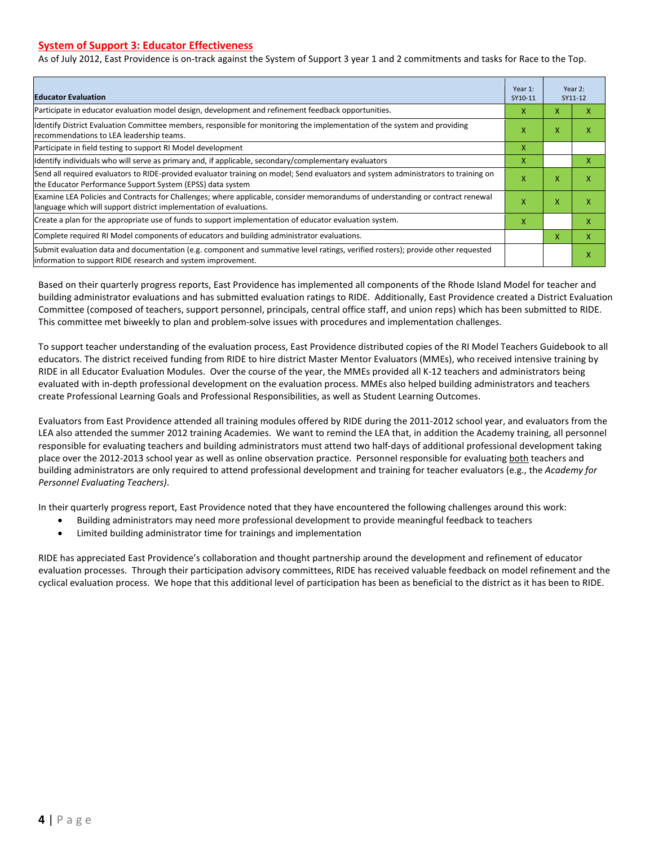#### **System of Support 3: Educator Effectiveness**

As of July 2012, East Providence is on-track against the System of Support 3 year 1 and 2 commitments and tasks for Race to the Top.

| <b>Educator Evaluation</b>                                                                                                                                                                            |   |   | Year 2:<br>SY11-12 |
|-------------------------------------------------------------------------------------------------------------------------------------------------------------------------------------------------------|---|---|--------------------|
| Participate in educator evaluation model design, development and refinement feedback opportunities.                                                                                                   | x | X | x                  |
| Identify District Evaluation Committee members, responsible for monitoring the implementation of the system and providing<br>recommendations to LEA leadership teams.                                 | x | X | х                  |
| Participate in field testing to support RI Model development                                                                                                                                          | x |   |                    |
| Identify individuals who will serve as primary and, if applicable, secondary/complementary evaluators                                                                                                 | x |   | X                  |
| Send all required evaluators to RIDE-provided evaluator training on model; Send evaluators and system administrators to training on<br>the Educator Performance Support System (EPSS) data system     | X | X | X                  |
| Examine LEA Policies and Contracts for Challenges; where applicable, consider memorandums of understanding or contract renewal<br>language which will support district implementation of evaluations. |   |   | χ                  |
| Create a plan for the appropriate use of funds to support implementation of educator evaluation system.                                                                                               |   |   | x                  |
| Complete required RI Model components of educators and building administrator evaluations.                                                                                                            |   |   | X                  |
| Submit evaluation data and documentation (e.g. component and summative level ratings, verified rosters); provide other requested<br>information to support RIDE research and system improvement.      |   |   | χ                  |

Based on their quarterly progress reports, East Providence has implemented all components of the Rhode Island Model for teacher and building administrator evaluations and has submitted evaluation ratings to RIDE. Additionally, East Providence created a District Evaluation Committee (composed of teachers, support personnel, principals, central office staff, and union reps) which has been submitted to RIDE. This committee met biweekly to plan and problem-solve issues with procedures and implementation challenges.

To support teacher understanding of the evaluation process, East Providence distributed copies of the RI Model Teachers Guidebook to all educators. The district received funding from RIDE to hire district Master Mentor Evaluators (MMEs), who received intensive training by RIDE in all Educator Evaluation Modules. Over the course of the year, the MMEs provided all K-12 teachers and administrators being evaluated with in-depth professional development on the evaluation process. MMEs also helped building administrators and teachers create Professional Learning Goals and Professional Responsibilities, as well as Student Learning Outcomes.

Evaluators from East Providence attended all training modules offered by RIDE during the 2011-2012 school year, and evaluators from the LEA also attended the summer 2012 training Academies. We want to remind the LEA that, in addition the Academy training, all personnel responsible for evaluating teachers and building administrators must attend two half-days of additional professional development taking place over the 2012-2013 school year as well as online observation practice. Personnel responsible for evaluating both teachers and building administrators are only required to attend professional development and training for teacher evaluators (e.g., the *Academy for Personnel Evaluating Teachers)*.

In their quarterly progress report, East Providence noted that they have encountered the following challenges around this work:

- Building administrators may need more professional development to provide meaningful feedback to teachers
- Limited building administrator time for trainings and implementation

RIDE has appreciated East Providence's collaboration and thought partnership around the development and refinement of educator evaluation processes. Through their participation advisory committees, RIDE has received valuable feedback on model refinement and the cyclical evaluation process. We hope that this additional level of participation has been as beneficial to the district as it has been to RIDE.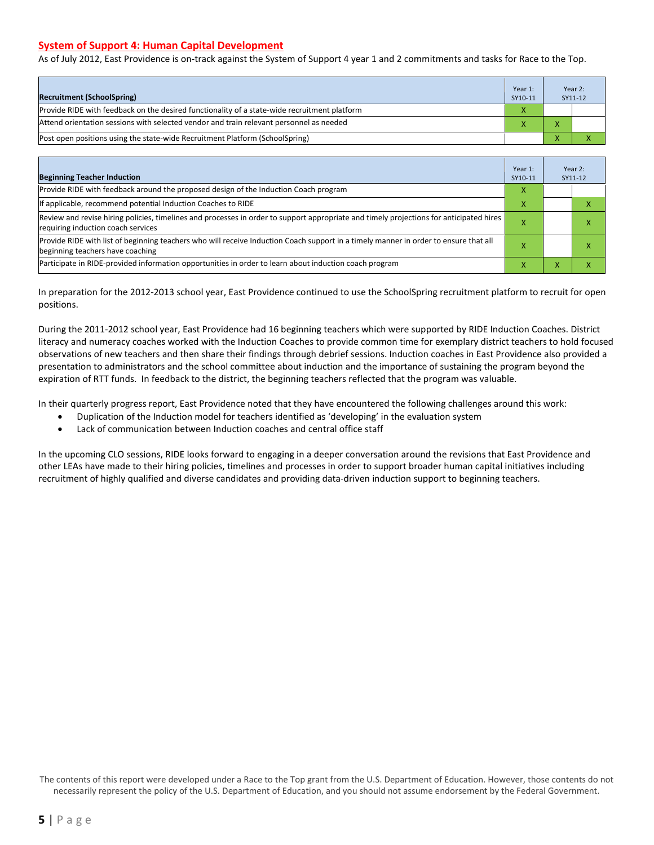#### **System of Support 4: Human Capital Development**

As of July 2012, East Providence is on-track against the System of Support 4 year 1 and 2 commitments and tasks for Race to the Top.

| <b>Recruitment (SchoolSpring)</b>                                                            | Year 1:<br>SY10-11 | Year 2:<br>SY11-12 |
|----------------------------------------------------------------------------------------------|--------------------|--------------------|
| Provide RIDE with feedback on the desired functionality of a state-wide recruitment platform | X                  |                    |
| Attend orientation sessions with selected vendor and train relevant personnel as needed      |                    |                    |
| Post open positions using the state-wide Recruitment Platform (SchoolSpring)                 |                    |                    |

| <b>Beginning Teacher Induction</b>                                                                                                                                            | Year 1:<br>SY10-11 |  | Year 2:<br>SY11-12 |
|-------------------------------------------------------------------------------------------------------------------------------------------------------------------------------|--------------------|--|--------------------|
| Provide RIDE with feedback around the proposed design of the Induction Coach program                                                                                          |                    |  |                    |
| If applicable, recommend potential Induction Coaches to RIDE                                                                                                                  | x                  |  |                    |
| Review and revise hiring policies, timelines and processes in order to support appropriate and timely projections for anticipated hires<br>requiring induction coach services |                    |  |                    |
| Provide RIDE with list of beginning teachers who will receive Induction Coach support in a timely manner in order to ensure that all<br>beginning teachers have coaching      |                    |  |                    |
| Participate in RIDE-provided information opportunities in order to learn about induction coach program                                                                        | x                  |  |                    |

In preparation for the 2012-2013 school year, East Providence continued to use the SchoolSpring recruitment platform to recruit for open positions.

During the 2011-2012 school year, East Providence had 16 beginning teachers which were supported by RIDE Induction Coaches. District literacy and numeracy coaches worked with the Induction Coaches to provide common time for exemplary district teachers to hold focused observations of new teachers and then share their findings through debrief sessions. Induction coaches in East Providence also provided a presentation to administrators and the school committee about induction and the importance of sustaining the program beyond the expiration of RTT funds. In feedback to the district, the beginning teachers reflected that the program was valuable.

In their quarterly progress report, East Providence noted that they have encountered the following challenges around this work:

- Duplication of the Induction model for teachers identified as 'developing' in the evaluation system
- Lack of communication between Induction coaches and central office staff

In the upcoming CLO sessions, RIDE looks forward to engaging in a deeper conversation around the revisions that East Providence and other LEAs have made to their hiring policies, timelines and processes in order to support broader human capital initiatives including recruitment of highly qualified and diverse candidates and providing data-driven induction support to beginning teachers.

The contents of this report were developed under a Race to the Top grant from the U.S. Department of Education. However, those contents do not necessarily represent the policy of the U.S. Department of Education, and you should not assume endorsement by the Federal Government.